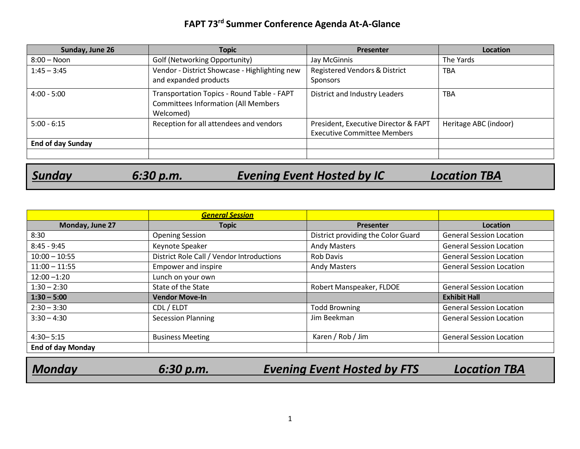### **FAPT 73rd Summer Conference Agenda At-A-Glance**

| Sunday, June 26          | <b>Topic</b>                                                                                          | Presenter                                                                  | Location              |
|--------------------------|-------------------------------------------------------------------------------------------------------|----------------------------------------------------------------------------|-----------------------|
| $8:00 - N$ oon           | Golf (Networking Opportunity)                                                                         | Jay McGinnis                                                               | The Yards             |
| $1:45 - 3:45$            | Vendor - District Showcase - Highlighting new                                                         | <b>Registered Vendors &amp; District</b>                                   | <b>TBA</b>            |
|                          | and expanded products                                                                                 | Sponsors                                                                   |                       |
| $4:00 - 5:00$            | Transportation Topics - Round Table - FAPT<br><b>Committees Information (All Members</b><br>Welcomed) | District and Industry Leaders                                              | <b>TBA</b>            |
| $5:00 - 6:15$            | Reception for all attendees and vendors                                                               | President, Executive Director & FAPT<br><b>Executive Committee Members</b> | Heritage ABC (indoor) |
| <b>End of day Sunday</b> |                                                                                                       |                                                                            |                       |
|                          |                                                                                                       |                                                                            |                       |
|                          |                                                                                                       |                                                                            |                       |

*Sunday 6:30 p.m. Evening Event Hosted by IC Location TBA*

|                          | <b>General Session</b>                    |                                    |                                 |
|--------------------------|-------------------------------------------|------------------------------------|---------------------------------|
| Monday, June 27          | <b>Topic</b>                              | Presenter                          | Location                        |
| 8:30                     | <b>Opening Session</b>                    | District providing the Color Guard | <b>General Session Location</b> |
| $8:45 - 9:45$            | Keynote Speaker                           | <b>Andy Masters</b>                | <b>General Session Location</b> |
| $10:00 - 10:55$          | District Role Call / Vendor Introductions | <b>Rob Davis</b>                   | <b>General Session Location</b> |
| $11:00 - 11:55$          | <b>Empower and inspire</b>                | <b>Andy Masters</b>                | <b>General Session Location</b> |
| $12:00 - 1:20$           | Lunch on your own                         |                                    |                                 |
| $1:30 - 2:30$            | State of the State                        | Robert Manspeaker, FLDOE           | <b>General Session Location</b> |
| $1:30 - 5:00$            | <b>Vendor Move-In</b>                     |                                    | <b>Exhibit Hall</b>             |
| $2:30 - 3:30$            | CDL / ELDT                                | <b>Todd Browning</b>               | <b>General Session Location</b> |
| $3:30 - 4:30$            | <b>Secession Planning</b>                 | Jim Beekman                        | <b>General Session Location</b> |
| $4:30 - 5:15$            | <b>Business Meeting</b>                   | Karen / Rob / Jim                  | <b>General Session Location</b> |
| <b>End of day Monday</b> |                                           |                                    |                                 |

*Monday 6:30 p.m. Evening Event Hosted by FTS Location TBA*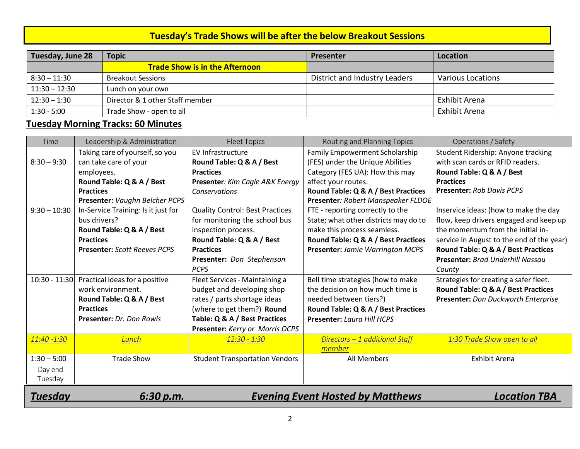### **Tuesday's Trade Shows will be after the below Breakout Sessions**

| Tuesday, June 28 | <b>Topic</b>                          | <b>Presenter</b>              | Location          |
|------------------|---------------------------------------|-------------------------------|-------------------|
|                  | <b>Trade Show is in the Afternoon</b> |                               |                   |
| $8:30 - 11:30$   | <b>Breakout Sessions</b>              | District and Industry Leaders | Various Locations |
| $11:30 - 12:30$  | Lunch on your own                     |                               |                   |
| $12:30 - 1:30$   | Director & 1 other Staff member       |                               | Exhibit Arena     |
| $1:30 - 5:00$    | Trade Show - open to all              |                               | Exhibit Arena     |

### **Tuesday Morning Tracks: 60 Minutes**

|                                                                                               | Taking care of yourself, so you              | <b>EV Infrastructure</b>               | Family Empowerment Scholarship          | Student Ridership: Anyone tracking        |
|-----------------------------------------------------------------------------------------------|----------------------------------------------|----------------------------------------|-----------------------------------------|-------------------------------------------|
| $8:30 - 9:30$                                                                                 | can take care of your                        | Round Table: Q & A / Best              | (FES) under the Unique Abilities        | with scan cards or RFID readers.          |
|                                                                                               | employees.                                   | <b>Practices</b>                       | Category (FES UA): How this may         | Round Table: Q & A / Best                 |
|                                                                                               | Round Table: Q & A / Best                    | Presenter: Kim Cagle A&K Energy        | affect your routes.                     | <b>Practices</b>                          |
|                                                                                               | <b>Practices</b>                             | <b>Conservations</b>                   | Round Table: Q & A / Best Practices     | <b>Presenter: Rob Davis PCPS</b>          |
|                                                                                               | Presenter: Vaughn Belcher PCPS               |                                        | Presenter: Robert Manspeaker FLDOE      |                                           |
| $9:30 - 10:30$                                                                                | In-Service Training: Is it just for          | <b>Quality Control: Best Practices</b> | FTE - reporting correctly to the        | Inservice ideas: (how to make the day     |
|                                                                                               | bus drivers?                                 | for monitoring the school bus          | State; what other districts may do to   | flow, keep drivers engaged and keep up    |
|                                                                                               | Round Table: Q & A / Best                    | inspection process.                    | make this process seamless.             | the momentum from the initial in-         |
|                                                                                               | <b>Practices</b>                             | Round Table: Q & A / Best              | Round Table: Q & A / Best Practices     | service in August to the end of the year) |
|                                                                                               | <b>Presenter:</b> Scott Reeves PCPS          | <b>Practices</b>                       | <b>Presenter: Jamie Warrington MCPS</b> | Round Table: Q & A / Best Practices       |
|                                                                                               |                                              | Presenter: Don Stephenson              |                                         | <b>Presenter: Brad Underhill Nassau</b>   |
|                                                                                               |                                              | <b>PCPS</b>                            |                                         | County                                    |
|                                                                                               | 10:30 - 11:30 Practical ideas for a positive | Fleet Services - Maintaining a         | Bell time strategies (how to make       | Strategies for creating a safer fleet.    |
|                                                                                               | work environment.                            | budget and developing shop             | the decision on how much time is        | Round Table: Q & A / Best Practices       |
|                                                                                               | Round Table: Q & A / Best                    | rates / parts shortage ideas           | needed between tiers?)                  | Presenter: Don Duckworth Enterprise       |
|                                                                                               | <b>Practices</b>                             | (where to get them?) Round             | Round Table: Q & A / Best Practices     |                                           |
|                                                                                               | <b>Presenter:</b> Dr. Don Rowls              | Table: Q & A / Best Practices          | <b>Presenter: Laura Hill HCPS</b>       |                                           |
|                                                                                               |                                              | Presenter: Kerry or Morris OCPS        |                                         |                                           |
| 11:40 -1:30                                                                                   | <u>Lunch</u>                                 | 12:30 - 1:30                           | Directors - 1 additional Staff          | 1:30 Trade Show open to all               |
|                                                                                               |                                              |                                        | member                                  |                                           |
| $1:30 - 5:00$                                                                                 | <b>Trade Show</b>                            | <b>Student Transportation Vendors</b>  | All Members                             | <b>Exhibit Arena</b>                      |
| Day end                                                                                       |                                              |                                        |                                         |                                           |
| Tuesday                                                                                       |                                              |                                        |                                         |                                           |
| <u>Tuesdav</u><br>6:30 p.m.<br><b>Evening Event Hosted by Matthews</b><br><u>Location TBA</u> |                                              |                                        |                                         |                                           |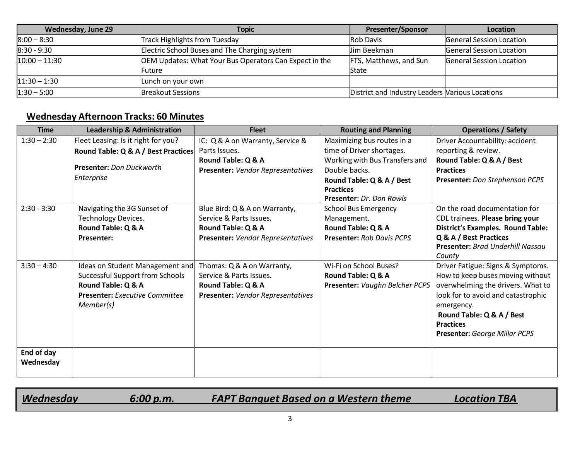| Wednesday, June 29 | <b>Topic</b>                                           | <b>Presenter/Sponsor</b>                        | <b>Location</b>          |
|--------------------|--------------------------------------------------------|-------------------------------------------------|--------------------------|
| $8:00 - 8:30$      | Track Highlights from Tuesday                          | <b>Rob Davis</b>                                | General Session Location |
| $8:30 - 9:30$      | Electric School Buses and The Charging system          | Jim Beekman                                     | General Session Location |
| $10:00 - 11:30$    | OEM Updates: What Your Bus Operators Can Expect in the | FTS, Matthews, and Sun                          | General Session Location |
|                    | Future                                                 | State                                           |                          |
| $11:30 - 1:30$     | Lunch on your own                                      |                                                 |                          |
| $1:30 - 5:00$      | <b>Breakout Sessions</b>                               | District and Industry Leaders Various Locations |                          |

## **Wednesday Afternoon Tracks: 60 Minutes**

| <b>Time</b>   | <b>Leadership &amp; Administration</b> | <b>Fleet</b>                             | <b>Routing and Planning</b>                   | <b>Operations / Safety</b>               |
|---------------|----------------------------------------|------------------------------------------|-----------------------------------------------|------------------------------------------|
| $1:30 - 2:30$ | Fleet Leasing: Is it right for you?    | IC: Q & A on Warranty, Service &         | Maximizing bus routes in a                    | Driver Accountability: accident          |
|               | Round Table: Q & A / Best Practices    | Parts Issues.                            | time of Driver shortages.                     | reporting & review.                      |
|               |                                        | Round Table: Q & A                       | Working with Bus Transfers and                | Round Table: Q & A / Best                |
|               | <b>Presenter:</b> Don Duckworth        | <b>Presenter:</b> Vendor Representatives | Double backs.                                 | <b>Practices</b>                         |
|               | Enterprise                             |                                          | Round Table: Q & A / Best<br><b>Practices</b> | Presenter: Don Stephenson PCPS           |
|               |                                        |                                          | Presenter: Dr. Don Rowls                      |                                          |
| $2:30 - 3:30$ | Navigating the 3G Sunset of            | Blue Bird: Q & A on Warranty,            | <b>School Bus Emergency</b>                   | On the road documentation for            |
|               | <b>Technology Devices.</b>             | Service & Parts Issues.                  | Management.                                   | CDL trainees. Please bring your          |
|               | Round Table: Q & A                     | Round Table: Q & A                       | Round Table: Q & A                            | <b>District's Examples. Round Table:</b> |
|               | <b>Presenter:</b>                      | Presenter: Vendor Representatives        | <b>Presenter: Rob Davis PCPS</b>              | Q & A / Best Practices                   |
|               |                                        |                                          |                                               | <b>Presenter: Brad Underhill Nassau</b>  |
|               |                                        |                                          |                                               | County                                   |
| $3:30 - 4:30$ | Ideas on Student Management and        | Thomas: Q & A on Warranty,               | Wi-Fi on School Buses?                        | Driver Fatigue: Signs & Symptoms.        |
|               | <b>Successful Support from Schools</b> | Service & Parts Issues.                  | Round Table: Q & A                            | How to keep buses moving without         |
|               | Round Table: Q & A                     | Round Table: Q & A                       | Presenter: Vaughn Belcher PCPS                | overwhelming the drivers. What to        |
|               | <b>Presenter:</b> Executive Committee  | Presenter: Vendor Representatives        |                                               | look for to avoid and catastrophic       |
|               | Member(s)                              |                                          |                                               | emergency.<br>Round Table: Q & A / Best  |
|               |                                        |                                          |                                               | <b>Practices</b>                         |
|               |                                        |                                          |                                               | <b>Presenter:</b> George Millar PCPS     |
|               |                                        |                                          |                                               |                                          |
| End of day    |                                        |                                          |                                               |                                          |
| Wednesday     |                                        |                                          |                                               |                                          |
|               |                                        |                                          |                                               |                                          |

*Wednesday 6:00 p.m. FAPT Banquet Based on a Western theme Location TBA*